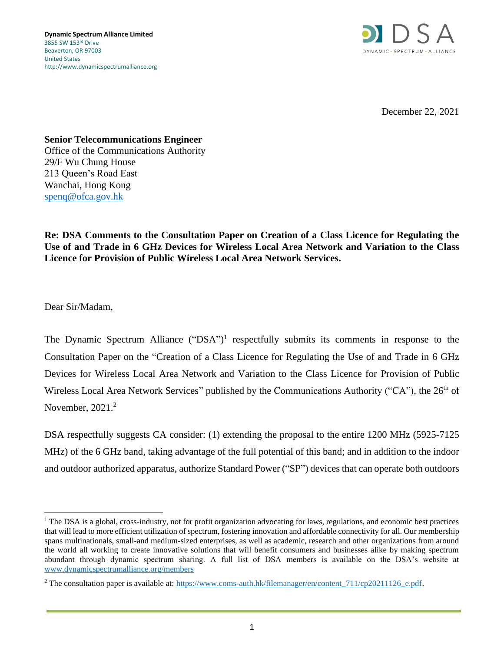

December 22, 2021

**Senior Telecommunications Engineer**

Office of the Communications Authority 29/F Wu Chung House 213 Queen's Road East Wanchai, Hong Kong [spenq@ofca.gov.hk](mailto:spenq@ofca.gov.hk)

**Re: DSA Comments to the Consultation Paper on Creation of a Class Licence for Regulating the Use of and Trade in 6 GHz Devices for Wireless Local Area Network and Variation to the Class Licence for Provision of Public Wireless Local Area Network Services.**

Dear Sir/Madam,

The Dynamic Spectrum Alliance  $("DSA")^1$  respectfully submits its comments in response to the Consultation Paper on the "Creation of a Class Licence for Regulating the Use of and Trade in 6 GHz Devices for Wireless Local Area Network and Variation to the Class Licence for Provision of Public Wireless Local Area Network Services" published by the Communications Authority ("CA"), the 26<sup>th</sup> of November, 2021.<sup>2</sup>

DSA respectfully suggests CA consider: (1) extending the proposal to the entire 1200 MHz (5925-7125 MHz) of the 6 GHz band, taking advantage of the full potential of this band; and in addition to the indoor and outdoor authorized apparatus, authorize Standard Power ("SP") devices that can operate both outdoors

<sup>&</sup>lt;sup>1</sup> The DSA is a global, cross-industry, not for profit organization advocating for laws, regulations, and economic best practices that will lead to more efficient utilization of spectrum, fostering innovation and affordable connectivity for all. Our membership spans multinationals, small-and medium-sized enterprises, as well as academic, research and other organizations from around the world all working to create innovative solutions that will benefit consumers and businesses alike by making spectrum abundant through dynamic spectrum sharing. A full list of DSA members is available on the DSA's website at [www.dynamicspectrumalliance.org/members](http://www.dynamicspectrumalliance.org/members)

<sup>&</sup>lt;sup>2</sup> The consultation paper is available at: https://www.coms-auth.hk/filemanager/en/content  $711$ /cp20211126 e.pdf.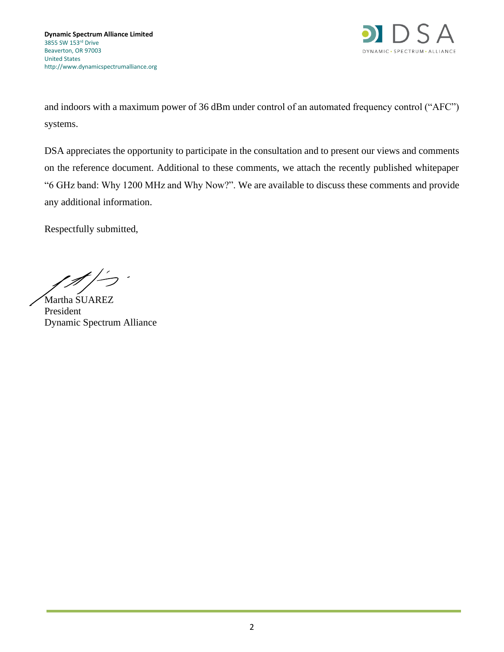

and indoors with a maximum power of 36 dBm under control of an automated frequency control ("AFC") systems.

DSA appreciates the opportunity to participate in the consultation and to present our views and comments on the reference document. Additional to these comments, we attach the recently published whitepaper "6 GHz band: Why 1200 MHz and Why Now?". We are available to discuss these comments and provide any additional information.

Respectfully submitted,

Martha SUAREZ President Dynamic Spectrum Alliance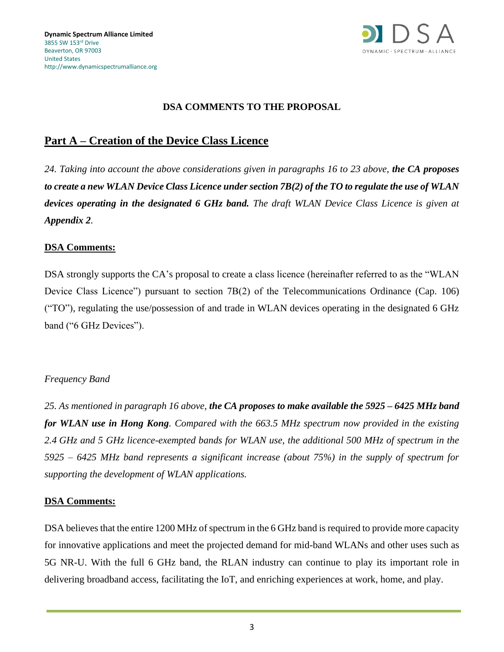

### **DSA COMMENTS TO THE PROPOSAL**

# **Part A – Creation of the Device Class Licence**

*24. Taking into account the above considerations given in paragraphs 16 to 23 above, the CA proposes to create a new WLAN Device Class Licence under section 7B(2) of the TO to regulate the use of WLAN devices operating in the designated 6 GHz band. The draft WLAN Device Class Licence is given at Appendix 2.* 

### **DSA Comments:**

DSA strongly supports the CA's proposal to create a class licence (hereinafter referred to as the "WLAN Device Class Licence") pursuant to section 7B(2) of the Telecommunications Ordinance (Cap. 106) ("TO"), regulating the use/possession of and trade in WLAN devices operating in the designated 6 GHz band ("6 GHz Devices").

#### *Frequency Band*

*25. As mentioned in paragraph 16 above, the CA proposes to make available the 5925 – 6425 MHz band for WLAN use in Hong Kong. Compared with the 663.5 MHz spectrum now provided in the existing 2.4 GHz and 5 GHz licence-exempted bands for WLAN use, the additional 500 MHz of spectrum in the 5925 – 6425 MHz band represents a significant increase (about 75%) in the supply of spectrum for supporting the development of WLAN applications.* 

#### **DSA Comments:**

DSA believes that the entire 1200 MHz of spectrum in the 6 GHz band is required to provide more capacity for innovative applications and meet the projected demand for mid-band WLANs and other uses such as 5G NR-U. With the full 6 GHz band, the RLAN industry can continue to play its important role in delivering broadband access, facilitating the IoT, and enriching experiences at work, home, and play.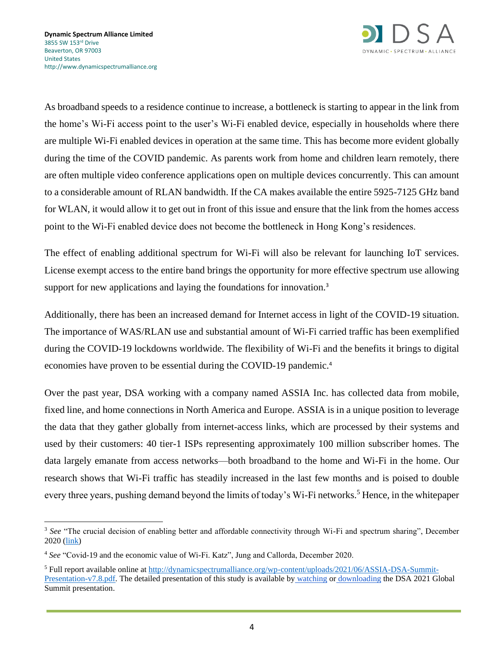

As broadband speeds to a residence continue to increase, a bottleneck is starting to appear in the link from the home's Wi-Fi access point to the user's Wi-Fi enabled device, especially in households where there are multiple Wi-Fi enabled devices in operation at the same time. This has become more evident globally during the time of the COVID pandemic. As parents work from home and children learn remotely, there are often multiple video conference applications open on multiple devices concurrently. This can amount to a considerable amount of RLAN bandwidth. If the CA makes available the entire 5925-7125 GHz band for WLAN, it would allow it to get out in front of this issue and ensure that the link from the homes access point to the Wi-Fi enabled device does not become the bottleneck in Hong Kong's residences.

The effect of enabling additional spectrum for Wi-Fi will also be relevant for launching IoT services. License exempt access to the entire band brings the opportunity for more effective spectrum use allowing support for new applications and laying the foundations for innovation.<sup>3</sup>

Additionally, there has been an increased demand for Internet access in light of the COVID-19 situation. The importance of WAS/RLAN use and substantial amount of Wi-Fi carried traffic has been exemplified during the COVID-19 lockdowns worldwide. The flexibility of Wi-Fi and the benefits it brings to digital economies have proven to be essential during the COVID-19 pandemic.<sup>4</sup>

Over the past year, DSA working with a company named ASSIA Inc. has collected data from mobile, fixed line, and home connections in North America and Europe. ASSIA is in a unique position to leverage the data that they gather globally from internet-access links, which are processed by their systems and used by their customers: 40 tier-1 ISPs representing approximately 100 million subscriber homes. The data largely emanate from access networks––both broadband to the home and Wi-Fi in the home. Our research shows that Wi-Fi traffic has steadily increased in the last few months and is poised to double every three years, pushing demand beyond the limits of today's Wi-Fi networks.<sup>5</sup> Hence, in the whitepaper

<sup>&</sup>lt;sup>3</sup> See "The crucial decision of enabling better and affordable connectivity through Wi-Fi and spectrum sharing", December 2020 [\(link\)](https://gtprn.org/2020/12/21/the-crucial-decision-of-enabling-better-and-affordable-connectivity-through-wi-fi-and-spectrum-sharing/)

<sup>4</sup> *See* "Covid-19 and the economic value of Wi-Fi. Katz", Jung and Callorda, December 2020.

<sup>5</sup> Full report available online a[t http://dynamicspectrumalliance.org/wp-content/uploads/2021/06/ASSIA-DSA-Summit-](http://dynamicspectrumalliance.org/wp-content/uploads/2021/06/ASSIA-DSA-Summit-Presentation-v7.8.pdf)[Presentation-v7.8.pdf.](http://dynamicspectrumalliance.org/wp-content/uploads/2021/06/ASSIA-DSA-Summit-Presentation-v7.8.pdf) The detailed presentation of this study is available b[y](https://youtu.be/oAj56wwxqys) [watching](https://youtu.be/oAj56wwxqys) or [downloading](https://bit.ly/2VmfbKl) the DSA 2021 Global Summit presentation.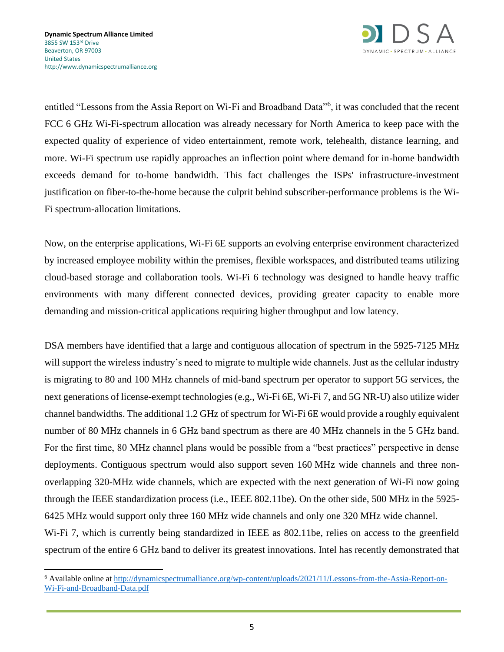

entitled "Lessons from the Assia Report on Wi-Fi and Broadband Data"<sup>6</sup>, it was concluded that the recent FCC 6 GHz Wi-Fi-spectrum allocation was already necessary for North America to keep pace with the expected quality of experience of video entertainment, remote work, telehealth, distance learning, and more. Wi-Fi spectrum use rapidly approaches an inflection point where demand for in-home bandwidth exceeds demand for to-home bandwidth. This fact challenges the ISPs' infrastructure-investment justification on fiber-to-the-home because the culprit behind subscriber-performance problems is the Wi-Fi spectrum-allocation limitations.

Now, on the enterprise applications, Wi-Fi 6E supports an evolving enterprise environment characterized by increased employee mobility within the premises, flexible workspaces, and distributed teams utilizing cloud-based storage and collaboration tools. Wi-Fi 6 technology was designed to handle heavy traffic environments with many different connected devices, providing greater capacity to enable more demanding and mission-critical applications requiring higher throughput and low latency.

DSA members have identified that a large and contiguous allocation of spectrum in the 5925-7125 MHz will support the wireless industry's need to migrate to multiple wide channels. Just as the cellular industry is migrating to 80 and 100 MHz channels of mid-band spectrum per operator to support 5G services, the next generations of license-exempt technologies (e.g., Wi-Fi 6E, Wi-Fi 7, and 5G NR-U) also utilize wider channel bandwidths. The additional 1.2 GHz of spectrum for Wi-Fi 6E would provide a roughly equivalent number of 80 MHz channels in 6 GHz band spectrum as there are 40 MHz channels in the 5 GHz band. For the first time, 80 MHz channel plans would be possible from a "best practices" perspective in dense deployments. Contiguous spectrum would also support seven 160 MHz wide channels and three nonoverlapping 320-MHz wide channels, which are expected with the next generation of Wi-Fi now going through the IEEE standardization process (i.e., IEEE 802.11be). On the other side, 500 MHz in the 5925- 6425 MHz would support only three 160 MHz wide channels and only one 320 MHz wide channel. Wi-Fi 7, which is currently being standardized in IEEE as 802.11be, relies on access to the greenfield spectrum of the entire 6 GHz band to deliver its greatest innovations. Intel has recently demonstrated that

<sup>6</sup> Available online at [http://dynamicspectrumalliance.org/wp-content/uploads/2021/11/Lessons-from-the-Assia-Report-on-](http://dynamicspectrumalliance.org/wp-content/uploads/2021/11/Lessons-from-the-Assia-Report-on-Wi-Fi-and-Broadband-Data.pdf)[Wi-Fi-and-Broadband-Data.pdf](http://dynamicspectrumalliance.org/wp-content/uploads/2021/11/Lessons-from-the-Assia-Report-on-Wi-Fi-and-Broadband-Data.pdf)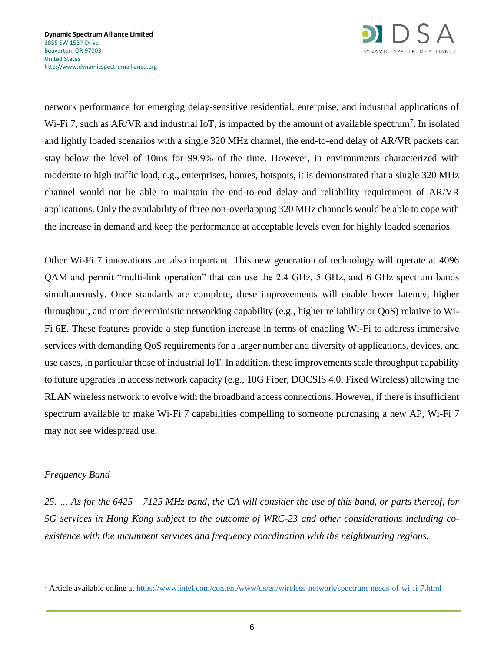

network performance for emerging delay-sensitive residential, enterprise, and industrial applications of Wi-Fi 7, such as AR/VR and industrial IoT, is impacted by the amount of available spectrum<sup>7</sup>. In isolated and lightly loaded scenarios with a single 320 MHz channel, the end-to-end delay of AR/VR packets can stay below the level of 10ms for 99.9% of the time. However, in environments characterized with moderate to high traffic load, e.g., enterprises, homes, hotspots, it is demonstrated that a single 320 MHz channel would not be able to maintain the end-to-end delay and reliability requirement of AR/VR applications. Only the availability of three non-overlapping 320 MHz channels would be able to cope with the increase in demand and keep the performance at acceptable levels even for highly loaded scenarios.

Other Wi-Fi 7 innovations are also important. This new generation of technology will operate at 4096 QAM and permit "multi-link operation" that can use the 2.4 GHz, 5 GHz, and 6 GHz spectrum bands simultaneously. Once standards are complete, these improvements will enable lower latency, higher throughput, and more deterministic networking capability (e.g., higher reliability or QoS) relative to Wi-Fi 6E. These features provide a step function increase in terms of enabling Wi-Fi to address immersive services with demanding QoS requirements for a larger number and diversity of applications, devices, and use cases, in particular those of industrial IoT. In addition, these improvements scale throughput capability to future upgrades in access network capacity (e.g., 10G Fiber, DOCSIS 4.0, Fixed Wireless) allowing the RLAN wireless network to evolve with the broadband access connections. However, if there is insufficient spectrum available to make Wi-Fi 7 capabilities compelling to someone purchasing a new AP, Wi-Fi 7 may not see widespread use.

### *Frequency Band*

*25. … As for the 6425 – 7125 MHz band, the CA will consider the use of this band, or parts thereof, for 5G services in Hong Kong subject to the outcome of WRC-23 and other considerations including coexistence with the incumbent services and frequency coordination with the neighbouring regions.*

<sup>7</sup> Article available online at<https://www.intel.com/content/www/us/en/wireless-network/spectrum-needs-of-wi-fi-7.html>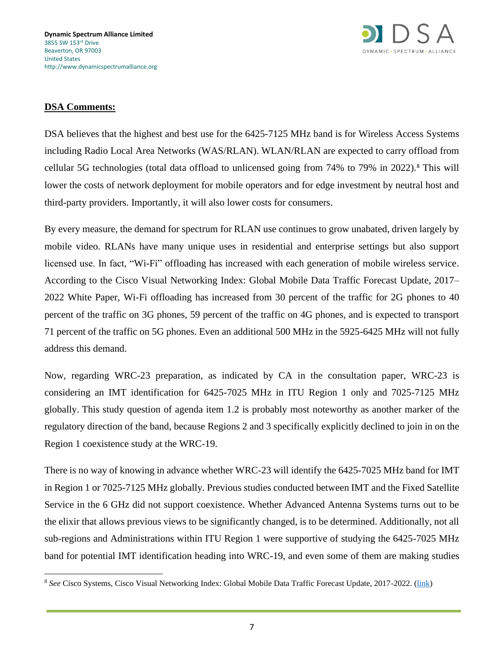

DSA believes that the highest and best use for the 6425-7125 MHz band is for Wireless Access Systems including Radio Local Area Networks (WAS/RLAN). WLAN/RLAN are expected to carry offload from cellular 5G technologies (total data offload to unlicensed going from 74% to 79% in 2022).<sup>8</sup> This will lower the costs of network deployment for mobile operators and for edge investment by neutral host and third-party providers. Importantly, it will also lower costs for consumers.

By every measure, the demand for spectrum for RLAN use continues to grow unabated, driven largely by mobile video. RLANs have many unique uses in residential and enterprise settings but also support licensed use. In fact, "Wi-Fi" offloading has increased with each generation of mobile wireless service. According to the Cisco Visual Networking Index: Global Mobile Data Traffic Forecast Update, 2017– 2022 White Paper, Wi-Fi offloading has increased from 30 percent of the traffic for 2G phones to 40 percent of the traffic on 3G phones, 59 percent of the traffic on 4G phones, and is expected to transport 71 percent of the traffic on 5G phones. Even an additional 500 MHz in the 5925-6425 MHz will not fully address this demand.

Now, regarding WRC-23 preparation, as indicated by CA in the consultation paper, WRC-23 is considering an IMT identification for 6425-7025 MHz in ITU Region 1 only and 7025-7125 MHz globally. This study question of agenda item 1.2 is probably most noteworthy as another marker of the regulatory direction of the band, because Regions 2 and 3 specifically explicitly declined to join in on the Region 1 coexistence study at the WRC-19.

There is no way of knowing in advance whether WRC-23 will identify the 6425-7025 MHz band for IMT in Region 1 or 7025-7125 MHz globally. Previous studies conducted between IMT and the Fixed Satellite Service in the 6 GHz did not support coexistence. Whether Advanced Antenna Systems turns out to be the elixir that allows previous views to be significantly changed, is to be determined. Additionally, not all sub-regions and Administrations within ITU Region 1 were supportive of studying the 6425-7025 MHz band for potential IMT identification heading into WRC-19, and even some of them are making studies

<sup>8</sup> *See* Cisco Systems, Cisco Visual Networking Index: Global Mobile Data Traffic Forecast Update, 2017-2022. [\(link\)](https://s3.amazonaws.com/media.mediapost.com/uploads/CiscoForecast.pdf)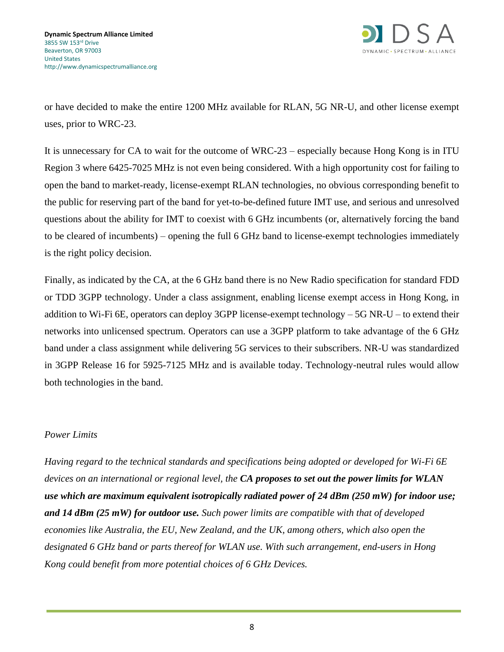

or have decided to make the entire 1200 MHz available for RLAN, 5G NR-U, and other license exempt uses, prior to WRC-23.

It is unnecessary for CA to wait for the outcome of WRC-23 – especially because Hong Kong is in ITU Region 3 where 6425-7025 MHz is not even being considered. With a high opportunity cost for failing to open the band to market-ready, license-exempt RLAN technologies, no obvious corresponding benefit to the public for reserving part of the band for yet-to-be-defined future IMT use, and serious and unresolved questions about the ability for IMT to coexist with 6 GHz incumbents (or, alternatively forcing the band to be cleared of incumbents) – opening the full 6 GHz band to license-exempt technologies immediately is the right policy decision.

Finally, as indicated by the CA, at the 6 GHz band there is no New Radio specification for standard FDD or TDD 3GPP technology. Under a class assignment, enabling license exempt access in Hong Kong, in addition to Wi-Fi 6E, operators can deploy 3GPP license-exempt technology – 5G NR-U – to extend their networks into unlicensed spectrum. Operators can use a 3GPP platform to take advantage of the 6 GHz band under a class assignment while delivering 5G services to their subscribers. NR-U was standardized in 3GPP Release 16 for 5925-7125 MHz and is available today. Technology-neutral rules would allow both technologies in the band.

### *Power Limits*

*Having regard to the technical standards and specifications being adopted or developed for Wi-Fi 6E devices on an international or regional level, the CA proposes to set out the power limits for WLAN use which are maximum equivalent isotropically radiated power of 24 dBm (250 mW) for indoor use; and 14 dBm (25 mW) for outdoor use. Such power limits are compatible with that of developed economies like Australia, the EU, New Zealand, and the UK, among others, which also open the designated 6 GHz band or parts thereof for WLAN use. With such arrangement, end-users in Hong Kong could benefit from more potential choices of 6 GHz Devices.*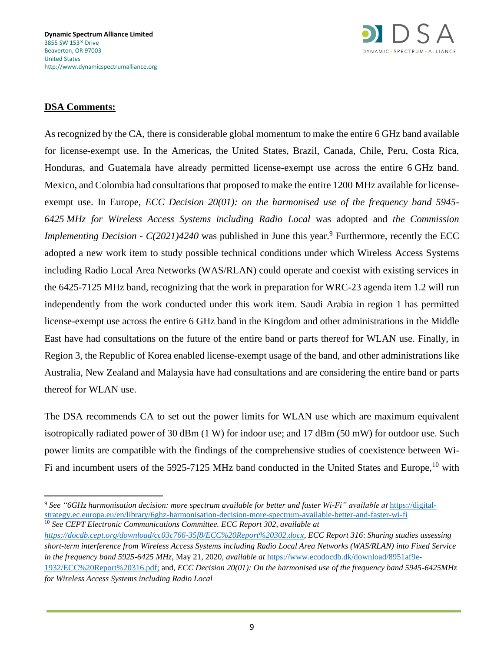

As recognized by the CA, there is considerable global momentum to make the entire 6 GHz band available for license-exempt use. In the Americas, the United States, Brazil, Canada, Chile, Peru, Costa Rica, Honduras, and Guatemala have already permitted license-exempt use across the entire 6 GHz band. Mexico, and Colombia had consultations that proposed to make the entire 1200 MHz available for licenseexempt use. In Europe, *ECC Decision 20(01): on the harmonised use of the frequency band 5945- 6425 MHz for Wireless Access Systems including Radio Local* was adopted and *the Commission Implementing Decision - C(2021)4240* was published in June this year.<sup>9</sup> Furthermore, recently the ECC adopted a new work item to study possible technical conditions under which Wireless Access Systems including Radio Local Area Networks (WAS/RLAN) could operate and coexist with existing services in the 6425-7125 MHz band, recognizing that the work in preparation for WRC-23 agenda item 1.2 will run independently from the work conducted under this work item. Saudi Arabia in region 1 has permitted license-exempt use across the entire 6 GHz band in the Kingdom and other administrations in the Middle East have had consultations on the future of the entire band or parts thereof for WLAN use. Finally, in Region 3, the Republic of Korea enabled license-exempt usage of the band, and other administrations like Australia, New Zealand and Malaysia have had consultations and are considering the entire band or parts thereof for WLAN use.

The DSA recommends CA to set out the power limits for WLAN use which are maximum equivalent isotropically radiated power of 30 dBm (1 W) for indoor use; and 17 dBm (50 mW) for outdoor use. Such power limits are compatible with the findings of the comprehensive studies of coexistence between Wi-Fi and incumbent users of the 5925-7125 MHz band conducted in the United States and Europe, <sup>10</sup> with

<sup>10</sup> *See CEPT Electronic Communications Committee. ECC Report 302, available at* 

<sup>9</sup> *See "6GHz harmonisation decision: more spectrum available for better and faster Wi-Fi" available at* [https://digital](https://digital-strategy.ec.europa.eu/en/library/6ghz-harmonisation-decision-more-spectrum-available-better-and-faster-wi-fi)[strategy.ec.europa.eu/en/library/6ghz-harmonisation-decision-more-spectrum-available-better-and-faster-wi-fi](https://digital-strategy.ec.europa.eu/en/library/6ghz-harmonisation-decision-more-spectrum-available-better-and-faster-wi-fi)

*[https://docdb.cept.org/download/cc03c766-35f8/ECC%20Report%20302.docx,](https://docdb.cept.org/download/cc03c766-35f8/ECC%20Report%20302.docx) ECC Report 316*: *Sharing studies assessing short-term interference from Wireless Access Systems including Radio Local Area Networks (WAS/RLAN) into Fixed Service in the frequency band 5925-6425 MHz*, May 21, 2020, *available at* [https://www.ecodocdb.dk/download/8951af9e-](https://www.ecodocdb.dk/download/8951af9e-1932/ECC%20Report%20316.pdf)[1932/ECC%20Report%20316.pdf;](https://www.ecodocdb.dk/download/8951af9e-1932/ECC%20Report%20316.pdf) and, *ECC Decision 20(01): On the harmonised use of the frequency band 5945-6425MHz for Wireless Access Systems including Radio Local*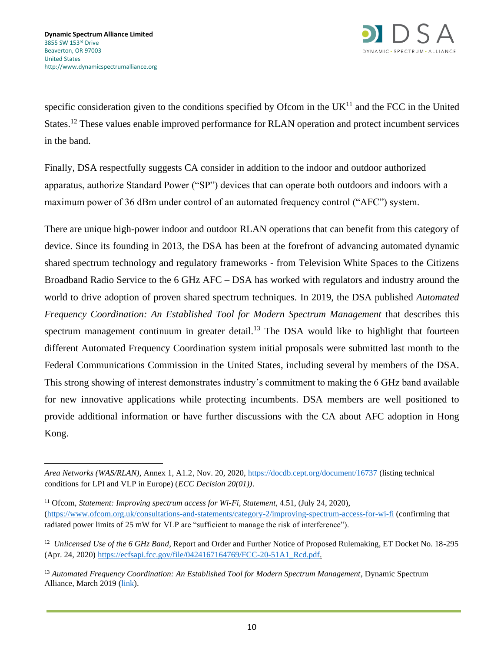

specific consideration given to the conditions specified by Ofcom in the  $UK<sup>11</sup>$  and the FCC in the United States.<sup>12</sup> These values enable improved performance for RLAN operation and protect incumbent services in the band.

Finally, DSA respectfully suggests CA consider in addition to the indoor and outdoor authorized apparatus, authorize Standard Power ("SP") devices that can operate both outdoors and indoors with a maximum power of 36 dBm under control of an automated frequency control ("AFC") system.

There are unique high-power indoor and outdoor RLAN operations that can benefit from this category of device. Since its founding in 2013, the DSA has been at the forefront of advancing automated dynamic shared spectrum technology and regulatory frameworks - from Television White Spaces to the Citizens Broadband Radio Service to the 6 GHz AFC – DSA has worked with regulators and industry around the world to drive adoption of proven shared spectrum techniques. In 2019, the DSA published *Automated Frequency Coordination: An Established Tool for Modern Spectrum Management* that describes this spectrum management continuum in greater detail.<sup>13</sup> The DSA would like to highlight that fourteen different Automated Frequency Coordination system initial proposals were submitted last month to the Federal Communications Commission in the United States, including several by members of the DSA. This strong showing of interest demonstrates industry's commitment to making the 6 GHz band available for new innovative applications while protecting incumbents. DSA members are well positioned to provide additional information or have further discussions with the CA about AFC adoption in Hong Kong.

- <sup>11</sup> Ofcom, *Statement: Improving spectrum access for Wi-Fi, Statement*, 4.51, (July 24, 2020), [\(https://www.ofcom.org.uk/consultations-and-statements/category-2/improving-spectrum-access-for-wi-fi](https://www.ofcom.org.uk/consultations-and-statements/category-2/improving-spectrum-access-for-wi-fi) (confirming that radiated power limits of 25 mW for VLP are "sufficient to manage the risk of interference").
- <sup>12</sup> Unlicensed Use of the 6 GHz Band, Report and Order and Further Notice of Proposed Rulemaking, ET Docket No. 18-295 (Apr. 24, 2020[\) https://ecfsapi.fcc.gov/file/0424167164769/FCC-20-51A1\\_Rcd.pdf.](https://ecfsapi.fcc.gov/file/0424167164769/FCC-20-51A1_Rcd.pdf)
- <sup>13</sup> *Automated Frequency Coordination: An Established Tool for Modern Spectrum Management*, Dynamic Spectrum Alliance, March 2019 [\(link\)](http://dynamicspectrumalliance.org/wp-content/uploads/2019/03/DSA_DB-Report_Final_03122019.pdf).

*Area Networks (WAS/RLAN)*, Annex 1, A1.2, Nov. 20, 2020,<https://docdb.cept.org/document/16737> (listing technical conditions for LPI and VLP in Europe) (*ECC Decision 20(01))*.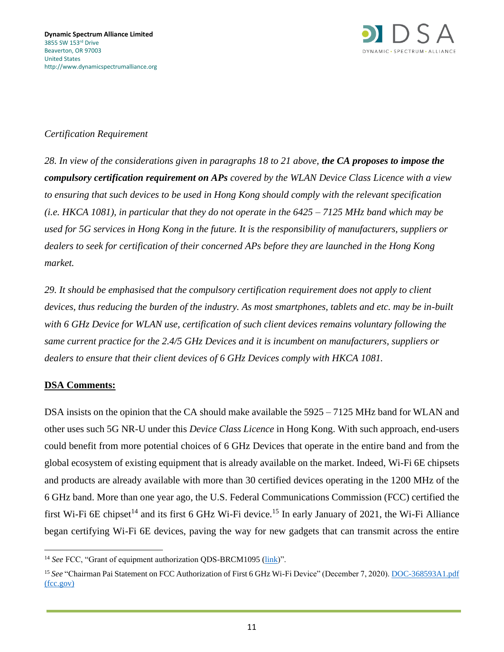

### *Certification Requirement*

*28. In view of the considerations given in paragraphs 18 to 21 above, the CA proposes to impose the compulsory certification requirement on APs covered by the WLAN Device Class Licence with a view to ensuring that such devices to be used in Hong Kong should comply with the relevant specification (i.e. HKCA 1081), in particular that they do not operate in the 6425 – 7125 MHz band which may be used for 5G services in Hong Kong in the future. It is the responsibility of manufacturers, suppliers or dealers to seek for certification of their concerned APs before they are launched in the Hong Kong market.* 

*29. It should be emphasised that the compulsory certification requirement does not apply to client devices, thus reducing the burden of the industry. As most smartphones, tablets and etc. may be in-built with 6 GHz Device for WLAN use, certification of such client devices remains voluntary following the same current practice for the 2.4/5 GHz Devices and it is incumbent on manufacturers, suppliers or dealers to ensure that their client devices of 6 GHz Devices comply with HKCA 1081.*

#### **DSA Comments:**

DSA insists on the opinion that the CA should make available the 5925 – 7125 MHz band for WLAN and other uses such 5G NR-U under this *Device Class Licence* in Hong Kong. With such approach, end-users could benefit from more potential choices of 6 GHz Devices that operate in the entire band and from the global ecosystem of existing equipment that is already available on the market. Indeed, Wi-Fi 6E chipsets and products are already available with more than 30 certified devices operating in the 1200 MHz of the 6 GHz band. More than one year ago, the U.S. Federal Communications Commission (FCC) certified the first Wi-Fi 6E chipset<sup>14</sup> and its first 6 GHz Wi-Fi device.<sup>15</sup> In early January of 2021, the Wi-Fi Alliance began certifying Wi-Fi 6E devices, paving the way for new gadgets that can transmit across the entire

<sup>&</sup>lt;sup>14</sup> See FCC, "Grant of equipment authorization QDS-BRCM1095 [\(link\)](https://apps.fcc.gov/oetcf/tcb/reports/Tcb731GrantForm.cfm?mode=COPY&RequestTimeout=500&tcb_code=&application_id=ll686%2BwlPnFzHQb6tru2vw%3D%3D&fcc_id=QDS-BRCM1095)".

<sup>&</sup>lt;sup>15</sup> See "Chairman Pai Statement on FCC Authorization of First 6 GHz Wi-Fi Device" (December 7, 2020). DOC-368593A1.pdf [\(fcc.gov\)](https://docs.fcc.gov/public/attachments/DOC-368593A1.pdf)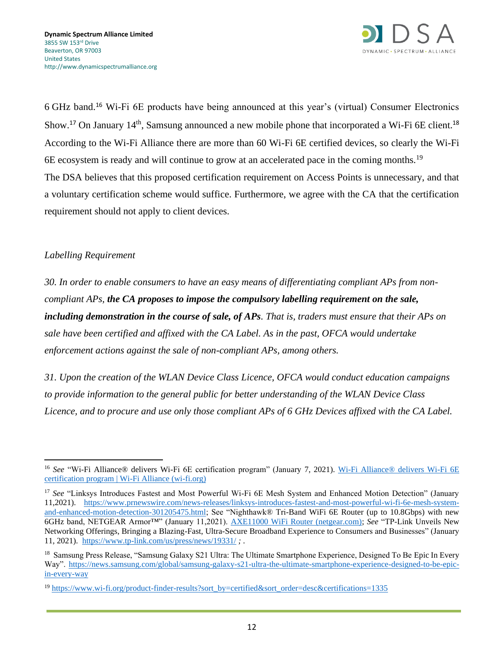

6 GHz band.<sup>16</sup> Wi-Fi 6E products have being announced at this year's (virtual) Consumer Electronics Show.<sup>17</sup> On January 14<sup>th</sup>, Samsung announced a new mobile phone that incorporated a Wi-Fi 6E client.<sup>18</sup> According to the Wi-Fi Alliance there are more than 60 Wi-Fi 6E certified devices, so clearly the Wi-Fi 6E ecosystem is ready and will continue to grow at an accelerated pace in the coming months.<sup>19</sup> The DSA believes that this proposed certification requirement on Access Points is unnecessary, and that a voluntary certification scheme would suffice. Furthermore, we agree with the CA that the certification requirement should not apply to client devices.

### *Labelling Requirement*

*30. In order to enable consumers to have an easy means of differentiating compliant APs from noncompliant APs, the CA proposes to impose the compulsory labelling requirement on the sale, including demonstration in the course of sale, of APs. That is, traders must ensure that their APs on sale have been certified and affixed with the CA Label. As in the past, OFCA would undertake enforcement actions against the sale of non-compliant APs, among others.* 

*31. Upon the creation of the WLAN Device Class Licence, OFCA would conduct education campaigns to provide information to the general public for better understanding of the WLAN Device Class Licence, and to procure and use only those compliant APs of 6 GHz Devices affixed with the CA Label.* 

<sup>&</sup>lt;sup>16</sup> See "Wi-Fi Alliance® delivers Wi-Fi 6E certification program" (January 7, 2021). Wi-Fi Alliance® delivers Wi-Fi 6E [certification program | Wi-Fi Alliance \(wi-fi.org\)](https://www.wi-fi.org/news-events/newsroom/wi-fi-alliance-delivers-wi-fi-6e-certification-program)

<sup>17</sup> *See* "Linksys Introduces Fastest and Most Powerful Wi-Fi 6E Mesh System and Enhanced Motion Detection" (January 11,2021). [https://www.prnewswire.com/news-releases/linksys-introduces-fastest-and-most-powerful-wi-fi-6e-mesh-system](https://www.prnewswire.com/news-releases/linksys-introduces-fastest-and-most-powerful-wi-fi-6e-mesh-system-and-enhanced-motion-detection-301205475.html)[and-enhanced-motion-detection-301205475.html;](https://www.prnewswire.com/news-releases/linksys-introduces-fastest-and-most-powerful-wi-fi-6e-mesh-system-and-enhanced-motion-detection-301205475.html) See "Nighthawk® Tri-Band WiFi 6E Router (up to 10.8Gbps) with new 6GHz band, NETGEAR Armor™" (January 11,2021). [AXE11000 WiFi Router \(netgear.com\);](https://www.netgear.com/home/wifi/routers/raxe500) *See* "TP-Link Unveils New Networking Offerings, Bringing a Blazing-Fast, Ultra-Secure Broadband Experience to Consumers and Businesses" (January 11, 2021). <https://www.tp-link.com/us/press/news/19331/> *;* .

<sup>&</sup>lt;sup>18</sup> Samsung Press Release, "Samsung Galaxy S21 Ultra: The Ultimate Smartphone Experience, Designed To Be Epic In Every Way". [https://news.samsung.com/global/samsung-galaxy-s21-ultra-the-ultimate-smartphone-experience-designed-to-be-epic](https://news.samsung.com/global/samsung-galaxy-s21-ultra-the-ultimate-smartphone-experience-designed-to-be-epic-in-every-way)[in-every-way](https://news.samsung.com/global/samsung-galaxy-s21-ultra-the-ultimate-smartphone-experience-designed-to-be-epic-in-every-way)

<sup>&</sup>lt;sup>19</sup> [https://www.wi-fi.org/product-finder-results?sort\\_by=certified&sort\\_order=desc&certifications=1335](https://www.wi-fi.org/product-finder-results?sort_by=certified&sort_order=desc&certifications=1335)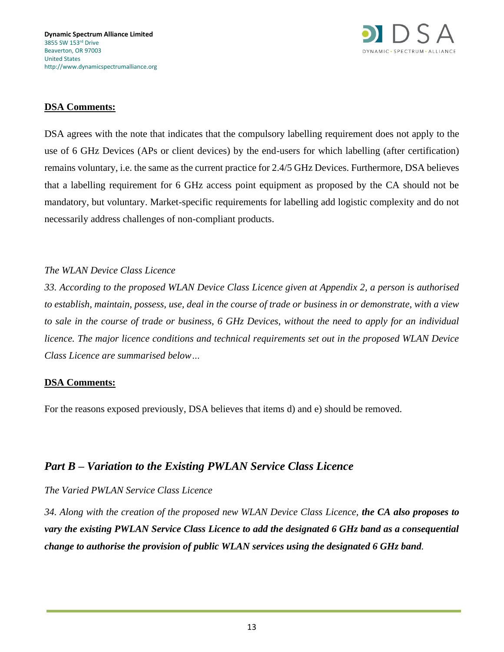

DSA agrees with the note that indicates that the compulsory labelling requirement does not apply to the use of 6 GHz Devices (APs or client devices) by the end-users for which labelling (after certification) remains voluntary, i.e. the same as the current practice for 2.4/5 GHz Devices. Furthermore, DSA believes that a labelling requirement for 6 GHz access point equipment as proposed by the CA should not be mandatory, but voluntary. Market-specific requirements for labelling add logistic complexity and do not necessarily address challenges of non-compliant products.

### *The WLAN Device Class Licence*

*33. According to the proposed WLAN Device Class Licence given at Appendix 2, a person is authorised to establish, maintain, possess, use, deal in the course of trade or business in or demonstrate, with a view to sale in the course of trade or business, 6 GHz Devices, without the need to apply for an individual licence. The major licence conditions and technical requirements set out in the proposed WLAN Device Class Licence are summarised below…*

### **DSA Comments:**

For the reasons exposed previously, DSA believes that items d) and e) should be removed.

## *Part B – Variation to the Existing PWLAN Service Class Licence*

#### *The Varied PWLAN Service Class Licence*

*34. Along with the creation of the proposed new WLAN Device Class Licence, the CA also proposes to vary the existing PWLAN Service Class Licence to add the designated 6 GHz band as a consequential change to authorise the provision of public WLAN services using the designated 6 GHz band.*